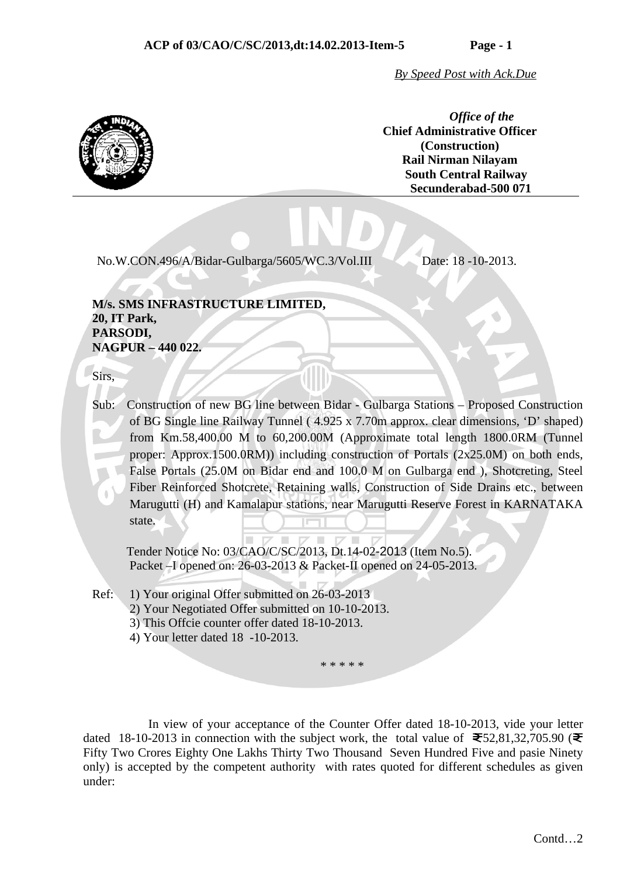*By Speed Post with Ack.Due*

*Office of the*  **Chief Administrative Officer (Construction) Rail Nirman Nilayam South Central Railway Secunderabad-500 071**

No.W.CON.496/A/Bidar-Gulbarga/5605/WC.3/Vol.III Date: 18 -10-2013.

 **M/s. SMS INFRASTRUCTURE LIMITED, 20, IT Park, PARSODI, NAGPUR – 440 022.** 

Sirs,

 Sub: Construction of new BG line between Bidar - Gulbarga Stations – Proposed Construction of BG Single line Railway Tunnel ( 4.925 x 7.70m approx. clear dimensions, 'D' shaped) from Km.58,400.00 M to 60,200.00M (Approximate total length 1800.0RM (Tunnel proper: Approx.1500.0RM)) including construction of Portals (2x25.0M) on both ends, False Portals (25.0M on Bidar end and 100.0 M on Gulbarga end ), Shotcreting, Steel Fiber Reinforced Shotcrete, Retaining walls, Construction of Side Drains etc., between Marugutti (H) and Kamalapur stations, near Marugutti Reserve Forest in KARNATAKA state.

 Tender Notice No: 03/CAO/C/SC/2013, Dt.14-02-2013 (Item No.5). Packet –I opened on: 26-03-2013 & Packet-II opened on 24-05-2013.

Ref: 1) Your original Offer submitted on 26-03-2013

2) Your Negotiated Offer submitted on 10-10-2013.

- 3) This Offcie counter offer dated 18-10-2013.
- 4) Your letter dated 18 -10-2013.

\* \* \* \* \*

 In view of your acceptance of the Counter Offer dated 18-10-2013, vide your letter dated 18-10-2013 in connection with the subject work, the total value of  $\mathbf{\mathfrak{F}}$ 52,81,32,705.90 ( $\mathbf{\mathfrak{F}}$ Fifty Two Crores Eighty One Lakhs Thirty Two Thousand Seven Hundred Five and pasie Ninety only) is accepted by the competent authority with rates quoted for different schedules as given under: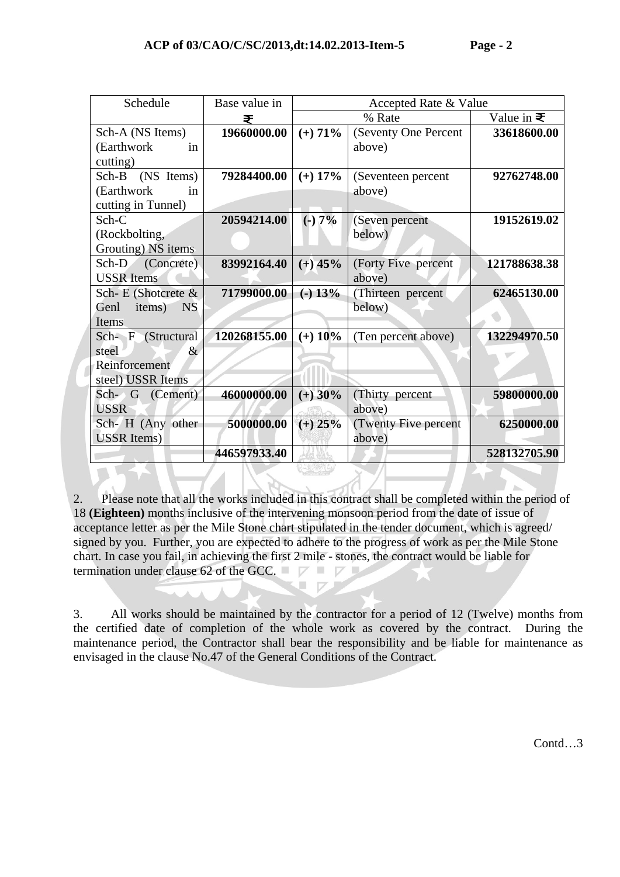| Schedule                    | Base value in | Accepted Rate & Value |                      |                   |
|-----------------------------|---------------|-----------------------|----------------------|-------------------|
|                             | ₹             |                       | % Rate               | Value in $\equiv$ |
| Sch-A (NS Items)            | 19660000.00   | $(+)$ 71%             | (Seventy One Percent | 33618600.00       |
| (Earthwork)<br>in           |               |                       | above)               |                   |
| cutting)                    |               |                       |                      |                   |
| Sch-B (NS Items)            | 79284400.00   | $(+)$ 17%             | (Seventeen percent   | 92762748.00       |
| (Earthwork)<br>in           |               |                       | above)               |                   |
| cutting in Tunnel)          |               |                       |                      |                   |
| $Sch-C$                     | 20594214.00   | $(-)7%$               | (Seven percent       | 19152619.02       |
| (Rockbolting,               |               |                       | below)               |                   |
| Grouting) NS items          |               |                       |                      |                   |
| (Concrete)<br>$Sch-D$       | 83992164.40   | $(+)$ 45%             | (Forty Five percent  | 121788638.38      |
| <b>USSR</b> Items           |               |                       | above)               |                   |
| Sch-E (Shotcrete &          | 71799000.00   | $(-) 13%$             | (Thirteen percent    | 62465130.00       |
| Genl<br>items)<br><b>NS</b> |               |                       | below)               |                   |
| Items                       |               |                       |                      |                   |
| Sch- F (Structural          | 120268155.00  | $(+)$ 10%             | (Ten percent above)  | 132294970.50      |
| steel<br>&                  |               |                       |                      |                   |
| Reinforcement               |               |                       |                      |                   |
| steel) USSR Items           |               |                       |                      |                   |
| Sch- G (Cement)             | 46000000.00   | $(+)$ 30%             | (Thirty percent      | 59800000.00       |
| <b>USSR</b>                 |               |                       | above)               |                   |
| Sch- H (Any other           | 5000000.00    | $(+)$ 25%             | (Twenty Five percent | 6250000.00        |
| <b>USSR</b> Items)          |               |                       | above)               |                   |
|                             | 446597933.40  |                       |                      | 528132705.90      |

2. Please note that all the works included in this contract shall be completed within the period of 18 **(Eighteen)** months inclusive of the intervening monsoon period from the date of issue of acceptance letter as per the Mile Stone chart stipulated in the tender document, which is agreed/ signed by you. Further, you are expected to adhere to the progress of work as per the Mile Stone chart. In case you fail, in achieving the first 2 mile - stones, the contract would be liable for termination under clause 62 of the GCC.  $\Box$   $\Box$ 

> $\blacksquare$  $\Box$

3. All works should be maintained by the contractor for a period of 12 (Twelve) months from the certified date of completion of the whole work as covered by the contract. During the maintenance period, the Contractor shall bear the responsibility and be liable for maintenance as envisaged in the clause No.47 of the General Conditions of the Contract.

Contd…3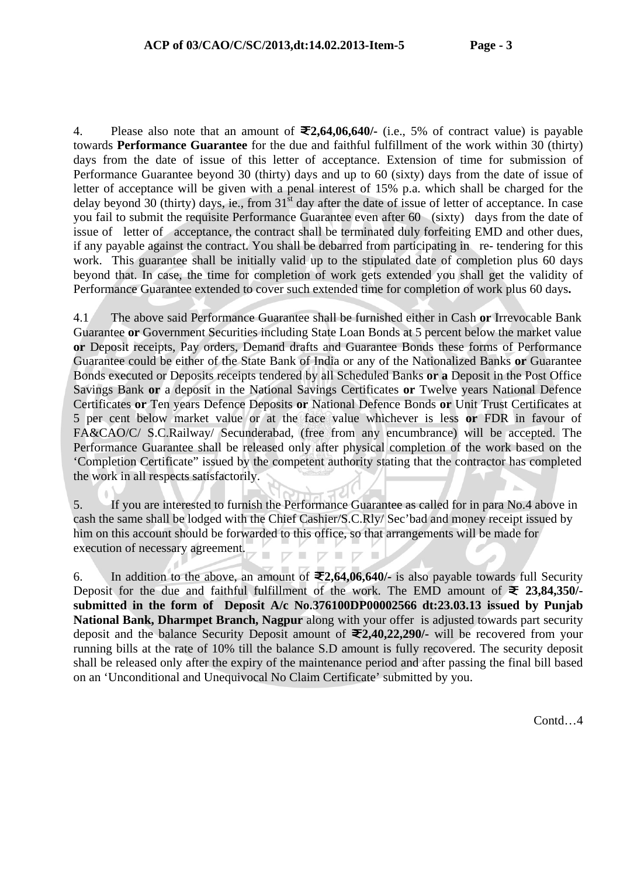4. Please also note that an amount of **2,64,06,640/-** (i.e., 5% of contract value) is payable towards **Performance Guarantee** for the due and faithful fulfillment of the work within 30 (thirty) days from the date of issue of this letter of acceptance. Extension of time for submission of Performance Guarantee beyond 30 (thirty) days and up to 60 (sixty) days from the date of issue of letter of acceptance will be given with a penal interest of 15% p.a. which shall be charged for the delay beyond 30 (thirty) days, ie., from  $31<sup>st</sup>$  day after the date of issue of letter of acceptance. In case you fail to submit the requisite Performance Guarantee even after 60 (sixty) days from the date of issue of letter of acceptance, the contract shall be terminated duly forfeiting EMD and other dues, if any payable against the contract. You shall be debarred from participating in re- tendering for this work. This guarantee shall be initially valid up to the stipulated date of completion plus 60 days beyond that. In case, the time for completion of work gets extended you shall get the validity of Performance Guarantee extended to cover such extended time for completion of work plus 60 days**.**

4.1 The above said Performance Guarantee shall be furnished either in Cash **or** Irrevocable Bank Guarantee **or** Government Securities including State Loan Bonds at 5 percent below the market value **or** Deposit receipts, Pay orders, Demand drafts and Guarantee Bonds these forms of Performance Guarantee could be either of the State Bank of India or any of the Nationalized Banks **or** Guarantee Bonds executed or Deposits receipts tendered by all Scheduled Banks **or a** Deposit in the Post Office Savings Bank **or** a deposit in the National Savings Certificates **or** Twelve years National Defence Certificates **or** Ten years Defence Deposits **or** National Defence Bonds **or** Unit Trust Certificates at 5 per cent below market value or at the face value whichever is less **or** FDR in favour of FA&CAO/C/ S.C.Railway/ Secunderabad, (free from any encumbrance) will be accepted. The Performance Guarantee shall be released only after physical completion of the work based on the 'Completion Certificate" issued by the competent authority stating that the contractor has completed the work in all respects satisfactorily.

5. If you are interested to furnish the Performance Guarantee as called for in para No.4 above in cash the same shall be lodged with the Chief Cashier/S.C.Rly/ Sec'bad and money receipt issued by him on this account should be forwarded to this office, so that arrangements will be made for execution of necessary agreement.

6. In addition to the above, an amount of  $\mathcal{F}2,64,06,640/4$  is also payable towards full Security Deposit for the due and faithful fulfillment of the work. The EMD amount of  $\geq 23,84,350/$ **submitted in the form of Deposit A/c No.376100DP00002566 dt:23.03.13 issued by Punjab National Bank, Dharmpet Branch, Nagpur** along with your offer is adjusted towards part security deposit and the balance Security Deposit amount of **2,40,22,290/-** will be recovered from your running bills at the rate of 10% till the balance S.D amount is fully recovered. The security deposit shall be released only after the expiry of the maintenance period and after passing the final bill based on an 'Unconditional and Unequivocal No Claim Certificate' submitted by you.

Contd…4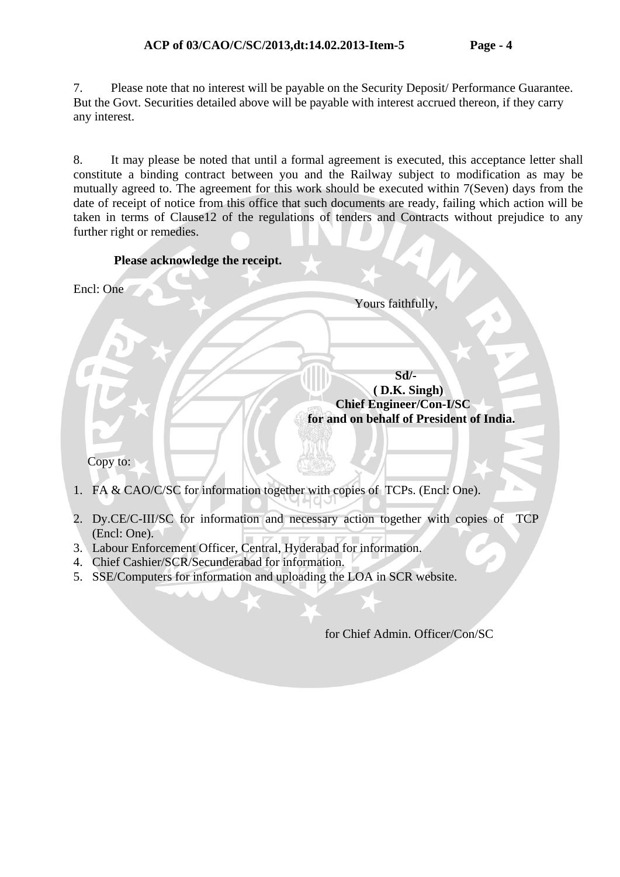7. Please note that no interest will be payable on the Security Deposit/ Performance Guarantee. But the Govt. Securities detailed above will be payable with interest accrued thereon, if they carry any interest.

8. It may please be noted that until a formal agreement is executed, this acceptance letter shall constitute a binding contract between you and the Railway subject to modification as may be mutually agreed to. The agreement for this work should be executed within 7(Seven) days from the date of receipt of notice from this office that such documents are ready, failing which action will be taken in terms of Clause12 of the regulations of tenders and Contracts without prejudice to any further right or remedies.  $\Delta$  $\overline{1}$ 

- 2. Dy.CE/C-III/SC for information and necessary action together with copies of TCP (Encl: One).
- 3. Labour Enforcement Officer, Central, Hyderabad for information.
- 4. Chief Cashier/SCR/Secunderabad for information.
- 5. SSE/Computers for information and uploading the LOA in SCR website.

for Chief Admin. Officer/Con/SC